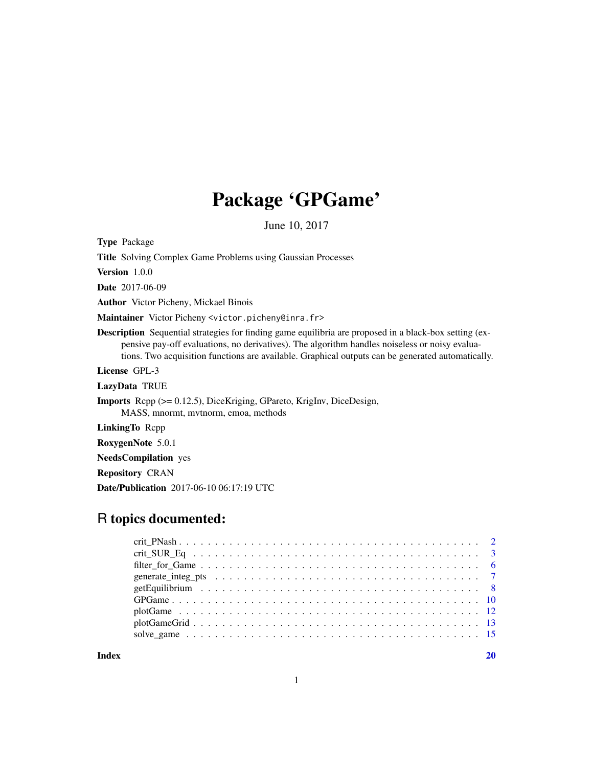# Package 'GPGame'

June 10, 2017

<span id="page-0-0"></span>Type Package

| Type Package                                                                                                                                                                                                                                                                                                         |
|----------------------------------------------------------------------------------------------------------------------------------------------------------------------------------------------------------------------------------------------------------------------------------------------------------------------|
| <b>Title</b> Solving Complex Game Problems using Gaussian Processes                                                                                                                                                                                                                                                  |
| Version $1.0.0$                                                                                                                                                                                                                                                                                                      |
| <b>Date</b> 2017-06-09                                                                                                                                                                                                                                                                                               |
| <b>Author</b> Victor Picheny, Mickael Binois                                                                                                                                                                                                                                                                         |
| Maintainer Victor Picheny <victor.picheny@inra.fr></victor.picheny@inra.fr>                                                                                                                                                                                                                                          |
| <b>Description</b> Sequential strategies for finding game equilibria are proposed in a black-box setting (ex-<br>pensive pay-off evaluations, no derivatives). The algorithm handles noiseless or noisy evalua-<br>tions. Two acquisition functions are available. Graphical outputs can be generated automatically. |
| License GPL-3                                                                                                                                                                                                                                                                                                        |
| LazyData TRUE                                                                                                                                                                                                                                                                                                        |
| <b>Imports</b> Repp $(>= 0.12.5)$ , DiceKriging, GPareto, KrigInv, DiceDesign,<br>MASS, mnormt, mytnorm, emoa, methods                                                                                                                                                                                               |
| <b>LinkingTo Repp</b>                                                                                                                                                                                                                                                                                                |
| RoxygenNote 5.0.1                                                                                                                                                                                                                                                                                                    |
| <b>NeedsCompilation</b> yes                                                                                                                                                                                                                                                                                          |
| <b>Repository CRAN</b>                                                                                                                                                                                                                                                                                               |
| <b>Date/Publication</b> 2017-06-10 06:17:19 UTC                                                                                                                                                                                                                                                                      |
|                                                                                                                                                                                                                                                                                                                      |

# R topics documented:

 $\bf 1$ ndex  $\bf 20$  $\bf 20$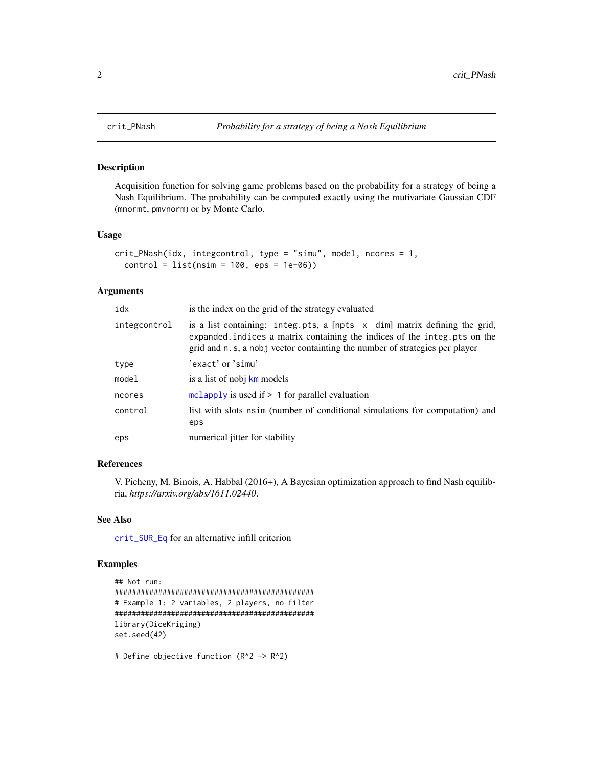#### Description

Acquisition function for solving game problems based on the probability for a strategy of being a Nash Equilibrium. The probability can be computed exactly using the mutivariate Gaussian CDF (mnormt, pmvnorm) or by Monte Carlo.

#### Usage

```
crit_PNash(idx, integcontrol, type = "simu", model, ncores = 1,
  control = list(nsim = 100,eps = 1e-06)
```
#### Arguments

| idx          | is the index on the grid of the strategy evaluated                                                                                                                                                                                                |
|--------------|---------------------------------------------------------------------------------------------------------------------------------------------------------------------------------------------------------------------------------------------------|
| integcontrol | is a list containing: integ.pts, a $[$ npts $ \times$ dim] matrix defining the grid,<br>expanded. indices a matrix containing the indices of the integ. pts on the<br>grid and n.s, a nobj vector containting the number of strategies per player |
| type         | 'exact' or 'simu'                                                                                                                                                                                                                                 |
| model        | is a list of nobj km models                                                                                                                                                                                                                       |
| ncores       | mclapply is used if $> 1$ for parallel evaluation                                                                                                                                                                                                 |
| control      | list with slots nsim (number of conditional simulations for computation) and<br>eps                                                                                                                                                               |
| eps          | numerical jitter for stability                                                                                                                                                                                                                    |

# References

V. Picheny, M. Binois, A. Habbal (2016+), A Bayesian optimization approach to find Nash equilibria, *https://arxiv.org/abs/1611.02440*.

# See Also

[crit\\_SUR\\_Eq](#page-2-1) for an alternative infill criterion

```
## Not run:
##############################################
# Example 1: 2 variables, 2 players, no filter
##############################################
library(DiceKriging)
set.seed(42)
```

```
# Define objective function (R^2 -> R^2)
```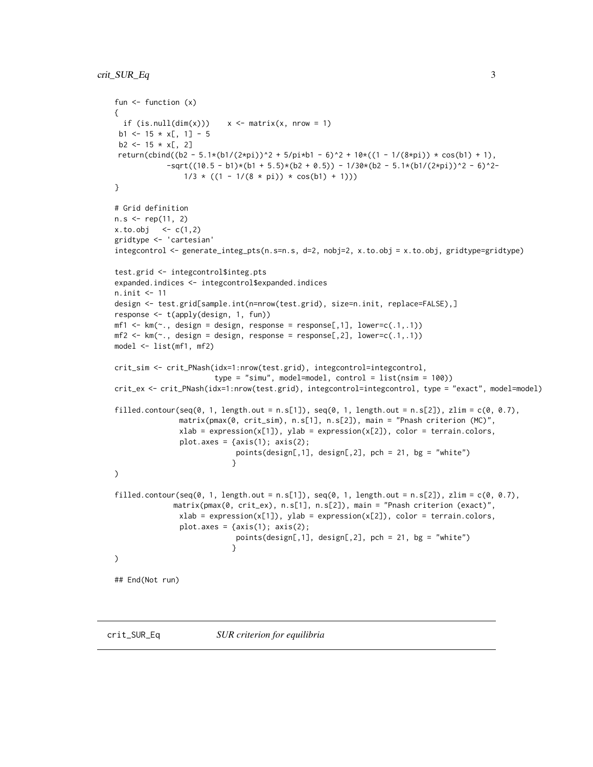```
fun <- function (x)
{
 if (is.null(dim(x)))  x \leq matrix(x, nrow = 1)b1 <- 15 \times x[, 1] - 5
 b2 \le -15 \times x[, 2]return(cbind((b2 - 5.1*(b1/(2*pi))^2 + 5/pi*b1 - 6)^2 + 10*((1 - 1/(8*pi)) * cos(b1) + 1),
            -sqrt((10.5 - b1)*(b1 + 5.5)*(b2 + 0.5)) - 1/30*(b2 - 5.1*(b1/(2*pi))^2 - 6)^2-1/3 * ((1 - 1/(8 * pi)) * cos(b1) + 1)))}
# Grid definition
n.s < - rep(11, 2)x. to. obj < -c(1,2)gridtype <- 'cartesian'
integcontrol <- generate_integ_pts(n.s=n.s, d=2, nobj=2, x.to.obj = x.to.obj, gridtype=gridtype)
test.grid <- integcontrol$integ.pts
expanded.indices <- integcontrol$expanded.indices
n.init <- 11
design <- test.grid[sample.int(n=nrow(test.grid), size=n.init, replace=FALSE),]
response <- t(apply(design, 1, fun))
mf1 \leq km(\sim n, \text{ design} = \text{design}, \text{response} = \text{response}[1, 1], \text{lower}=(0.1, 0.1))mf2 \leftarrow km(\sim ., design = design, response = response[, 2], lower=c(.1,.1))model <- list(mf1, mf2)
crit_sim <- crit_PNash(idx=1:nrow(test.grid), integcontrol=integcontrol,
                        type = "simu", model=model, control = list(nsim = 100))
crit_ex <- crit_PNash(idx=1:nrow(test.grid), integcontrol=integcontrol, type = "exact", model=model)
filled.contour(seq(0, 1, length.out = n.s[1]), seq(0, 1, length.out = n.s[2]), zlim = c(0, 0.7),
               matrix(pmax(0, crit_sim), n.s[1], n.s[2]), main = "Pnash criterion (MC)",
               xlab = expression(x[1]), ylab = expression(x[2]), color = terrain.colors,
                plot.axes = \{axis(1); axis(2);points(design[,1], design[,2], pch = 21, bg = "white")
                            }
\mathcal{L}filled.contour(seq(0, 1, length.out = n.s[1]), seq(0, 1, length.out = n.s[2]), zlim = c(0, 0.7),
              matrix(pmax(0, crit_ex), n.s[1], n.s[2]), main = "Pnash criterion (exact)",
               xlab = expression(x[1]), ylab = expression(x[2]), color = terrain.colors,
                plot.axes = \{axis(1); axis(2);points(design[,1], design[,2], pch = 21, bg = "white")
                            }
)
## End(Not run)
```
<span id="page-2-1"></span>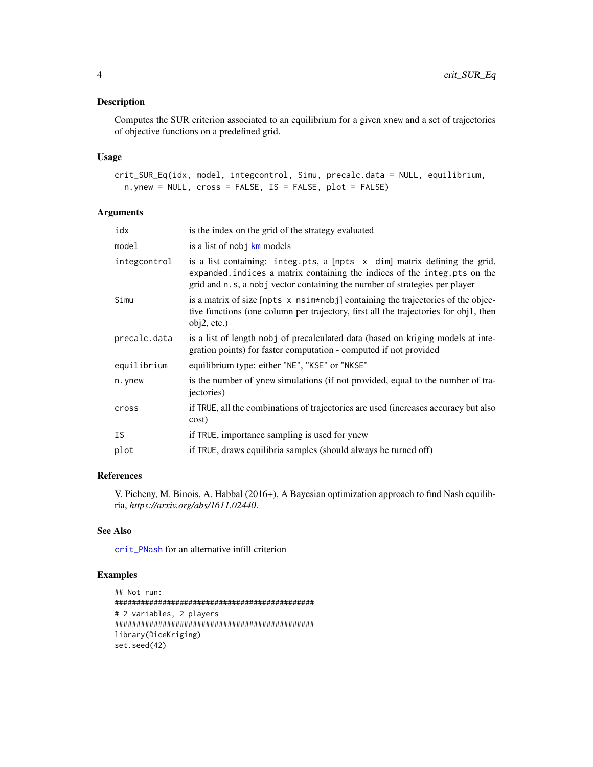# <span id="page-3-0"></span>Description

Computes the SUR criterion associated to an equilibrium for a given xnew and a set of trajectories of objective functions on a predefined grid.

#### Usage

```
crit_SUR_Eq(idx, model, integcontrol, Simu, precalc.data = NULL, equilibrium,
  n.ynew = NULL, cross = FALSE, IS = FALSE, plot = FALSE)
```
# Arguments

| idx          | is the index on the grid of the strategy evaluated                                                                                                                                                                                    |
|--------------|---------------------------------------------------------------------------------------------------------------------------------------------------------------------------------------------------------------------------------------|
| model        | is a list of nobj km models                                                                                                                                                                                                           |
| integcontrol | is a list containing: integ.pts, a [npts x dim] matrix defining the grid,<br>expanded. indices a matrix containing the indices of the integ. pts on the<br>grid and n.s, a nobj vector containing the number of strategies per player |
| Simu         | is a matrix of size $[{\rm npts} \times {\rm nsim*nobj}]$ containing the trajectories of the objec-<br>tive functions (one column per trajectory, first all the trajectories for obj1, then<br>obj2, etc.)                            |
| precalc.data | is a list of length nobj of precalculated data (based on kriging models at inte-<br>gration points) for faster computation - computed if not provided                                                                                 |
| equilibrium  | equilibrium type: either "NE", "KSE" or "NKSE"                                                                                                                                                                                        |
| n.ynew       | is the number of ynew simulations (if not provided, equal to the number of tra-<br><i>jectories</i> )                                                                                                                                 |
| cross        | if TRUE, all the combinations of trajectories are used (increases accuracy but also<br>cost)                                                                                                                                          |
| <b>IS</b>    | if TRUE, importance sampling is used for ynew                                                                                                                                                                                         |
| plot         | if TRUE, draws equilibria samples (should always be turned off)                                                                                                                                                                       |
|              |                                                                                                                                                                                                                                       |

# References

V. Picheny, M. Binois, A. Habbal (2016+), A Bayesian optimization approach to find Nash equilibria, *https://arxiv.org/abs/1611.02440*.

#### See Also

[crit\\_PNash](#page-1-1) for an alternative infill criterion

```
## Not run:
##############################################
# 2 variables, 2 players
##############################################
library(DiceKriging)
set.seed(42)
```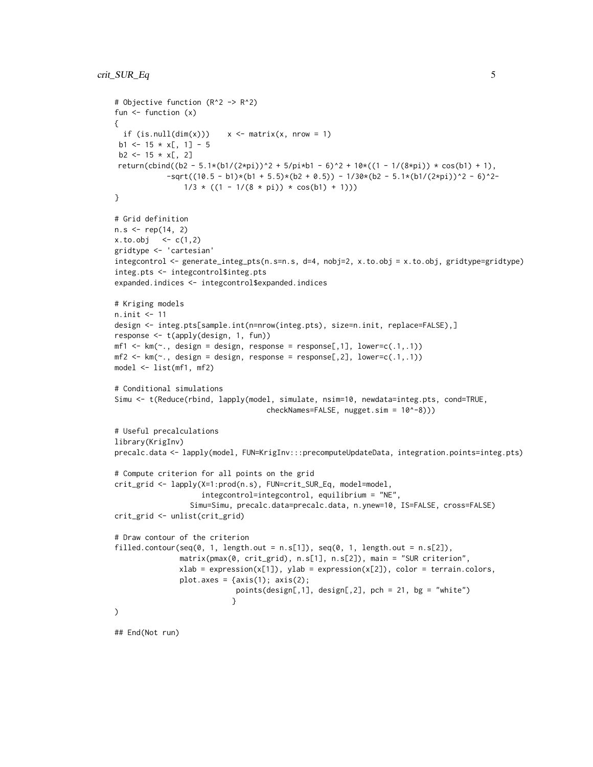```
# Objective function (R^2 -> R^2)
fun <- function (x)
{
  if (is.null(dim(x)))  x \leq -matrix(x, nrow = 1)b1 <- 15 * x[, 1] - 5
 b2 \le -15 \times x[, 2]return(cbind((b2 - 5.1*(b1/(2*pi))^2 + 5/pi*b1 - 6)^2 + 10*((1 - 1/(8*pi)) * cos(b1) + 1),
            -sqrt((10.5 - b1)*(b1 + 5.5)*(b2 + 0.5)) - 1/30*(b2 - 5.1*(b1/(2*pi))^2 - 6)^2-1/3 * ((1 - 1/(8 * pi)) * cos(b1) + 1)))}
# Grid definition
n.s < - rep(14, 2)x. to. obj < -c(1,2)gridtype <- 'cartesian'
integcontrol <- generate_integ_pts(n.s=n.s, d=4, nobj=2, x.to.obj = x.to.obj, gridtype=gridtype)
integ.pts <- integcontrol$integ.pts
expanded.indices <- integcontrol$expanded.indices
# Kriging models
n.init <- 11
design <- integ.pts[sample.int(n=nrow(integ.pts), size=n.init, replace=FALSE),]
response <- t(apply(design, 1, fun))
mf1 \leftarrow km(\sim), design = design, response = response[,1], lower=c(.1,.1))
mf2 \leq km(\sim ., design = design, response = response[, 2], lower=c(.1,.1))model <- list(mf1, mf2)
# Conditional simulations
Simu <- t(Reduce(rbind, lapply(model, simulate, nsim=10, newdata=integ.pts, cond=TRUE,
                                    checkNames=FALSE, nugget.sim = 10^-8)))
# Useful precalculations
library(KrigInv)
precalc.data <- lapply(model, FUN=KrigInv:::precomputeUpdateData, integration.points=integ.pts)
# Compute criterion for all points on the grid
crit_grid <- lapply(X=1:prod(n.s), FUN=crit_SUR_Eq, model=model,
                    integcontrol=integcontrol, equilibrium = "NE",
                  Simu=Simu, precalc.data=precalc.data, n.ynew=10, IS=FALSE, cross=FALSE)
crit_grid <- unlist(crit_grid)
# Draw contour of the criterion
filled.contour(seq(0, 1, length.out = n.S[1]), seq(0, 1, length.out = n.S[2]),
               matrix(pmax(0, crit_grid), n.s[1], n.s[2]), main = "SUR criterion",
               xlab = expression(x[1]), ylab = expression(x[2]), color = terrain.colors,
               plot.axes = \{axis(1); axis(2);points(design[,1], design[,2], pch = 21, bg = "white")
                           }
\mathcal{L}## End(Not run)
```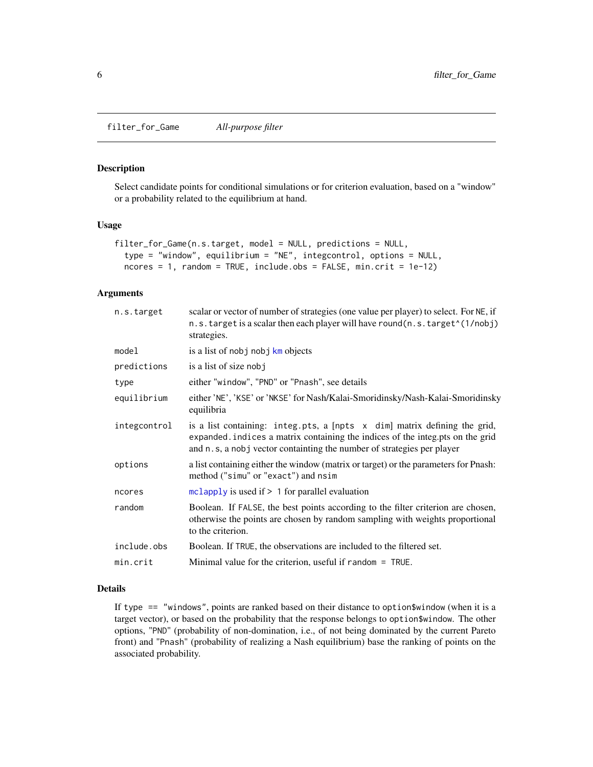<span id="page-5-0"></span>filter\_for\_Game *All-purpose filter*

#### Description

Select candidate points for conditional simulations or for criterion evaluation, based on a "window" or a probability related to the equilibrium at hand.

#### Usage

```
filter_for_Game(n.s.target, model = NULL, predictions = NULL,
  type = "window", equilibrium = "NE", integcontrol, options = NULL,
  ncores = 1, random = TRUE, include. obs = FALSE, min.crit = 1e-12)
```
# Arguments

| n.s.target   | scalar or vector of number of strategies (one value per player) to select. For NE, if<br>n.s.target is a scalar then each player will have round(n.s.target^(1/nobj)<br>strategies.                                                   |
|--------------|---------------------------------------------------------------------------------------------------------------------------------------------------------------------------------------------------------------------------------------|
| model        | is a list of nobj nobj km objects                                                                                                                                                                                                     |
| predictions  | is a list of size nobj                                                                                                                                                                                                                |
| type         | either "window", "PND" or "Pnash", see details                                                                                                                                                                                        |
| equilibrium  | either 'NE', 'KSE' or 'NKSE' for Nash/Kalai-Smoridinsky/Nash-Kalai-Smoridinsky<br>equilibria                                                                                                                                          |
| integcontrol | is a list containing: integ.pts, a [npts x dim] matrix defining the grid,<br>expanded. indices a matrix containing the indices of the integ.pts on the grid<br>and n.s, a nobj vector containting the number of strategies per player |
| options      | a list containing either the window (matrix or target) or the parameters for Pnash:<br>method ("simu" or "exact") and nsim                                                                                                            |
| ncores       | mclapply is used if $> 1$ for parallel evaluation                                                                                                                                                                                     |
| random       | Boolean. If FALSE, the best points according to the filter criterion are chosen,<br>otherwise the points are chosen by random sampling with weights proportional<br>to the criterion.                                                 |
| include.obs  | Boolean. If TRUE, the observations are included to the filtered set.                                                                                                                                                                  |
| min.crit     | Minimal value for the criterion, useful if $r$ andom $=$ TRUE.                                                                                                                                                                        |

# Details

If type == "windows", points are ranked based on their distance to option\$window (when it is a target vector), or based on the probability that the response belongs to option\$window. The other options, "PND" (probability of non-domination, i.e., of not being dominated by the current Pareto front) and "Pnash" (probability of realizing a Nash equilibrium) base the ranking of points on the associated probability.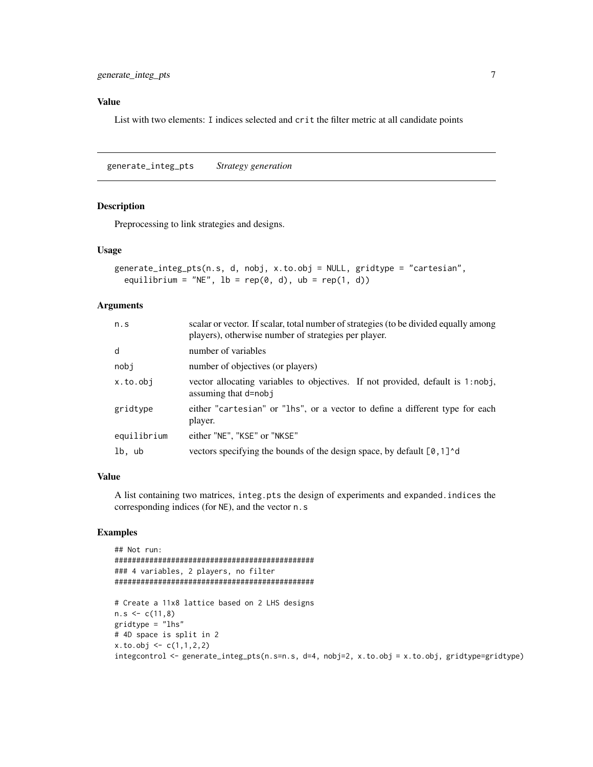# <span id="page-6-0"></span>Value

List with two elements: I indices selected and crit the filter metric at all candidate points

<span id="page-6-1"></span>generate\_integ\_pts *Strategy generation*

#### Description

Preprocessing to link strategies and designs.

#### Usage

```
generate_integ_pts(n.s, d, nobj, x.to.obj = NULL, gridtype = "cartesian",
  equilibrium = "NE", 1b = rep(0, d), ub = rep(1, d))
```
## Arguments

| n.s         | scalar or vector. If scalar, total number of strategies (to be divided equally among<br>players), otherwise number of strategies per player. |
|-------------|----------------------------------------------------------------------------------------------------------------------------------------------|
| d           | number of variables                                                                                                                          |
| nobj        | number of objectives (or players)                                                                                                            |
| x.to.obj    | vector allocating variables to objectives. If not provided, default is 1:nobj,<br>assuming that d=nobj                                       |
| gridtype    | either "cartesian" or "lhs", or a vector to define a different type for each<br>player.                                                      |
| equilibrium | either "NE", "KSE" or "NKSE"                                                                                                                 |
| lb, ub      | vectors specifying the bounds of the design space, by default [0,1] <sup>^</sup> d                                                           |

#### Value

A list containing two matrices, integ.pts the design of experiments and expanded.indices the corresponding indices (for NE), and the vector n.s

```
## Not run:
##############################################
### 4 variables, 2 players, no filter
##############################################
# Create a 11x8 lattice based on 2 LHS designs
n.s < -c(11,8)gridtype = "lhs"
# 4D space is split in 2
x. to. obj < -c(1,1,2,2)integcontrol <- generate_integ_pts(n.s=n.s, d=4, nobj=2, x.to.obj = x.to.obj, gridtype=gridtype)
```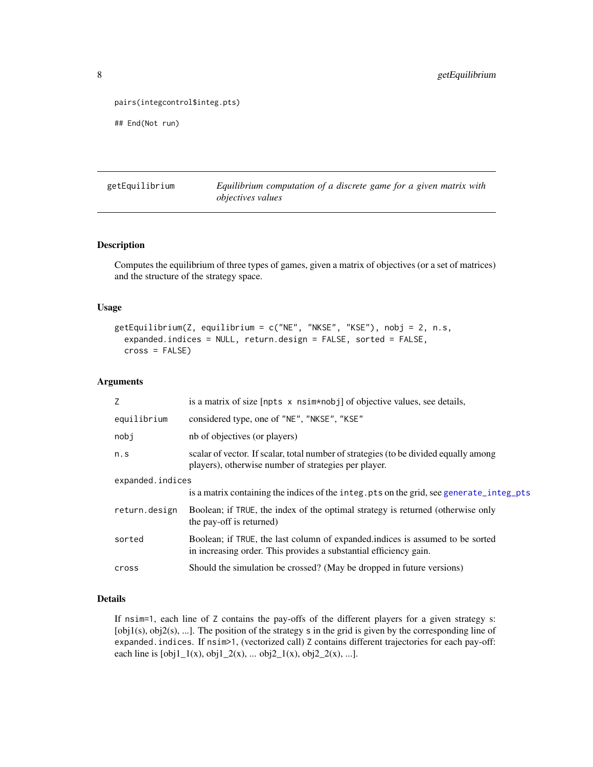```
pairs(integcontrol$integ.pts)
```

```
## End(Not run)
```
getEquilibrium *Equilibrium computation of a discrete game for a given matrix with objectives values*

# Description

Computes the equilibrium of three types of games, given a matrix of objectives (or a set of matrices) and the structure of the strategy space.

#### Usage

```
getEquilibrium(Z, equilibrium = c("NE", "NKSE", "KSE"), nobj = 2, n.s,
  expanded.indices = NULL, return.design = FALSE, sorted = FALSE,
  cross = FALSE)
```
#### Arguments

| Z                | is a matrix of size [npts x nsim*nobj] of objective values, see details,                                                                           |
|------------------|----------------------------------------------------------------------------------------------------------------------------------------------------|
| equilibrium      | considered type, one of "NE", "NKSE", "KSE"                                                                                                        |
| nobj             | nb of objectives (or players)                                                                                                                      |
| n.s              | scalar of vector. If scalar, total number of strategies (to be divided equally among<br>players), otherwise number of strategies per player.       |
| expanded.indices |                                                                                                                                                    |
|                  | is a matrix containing the indices of the integ. pts on the grid, see generate_integ_pts                                                           |
| return.design    | Boolean; if TRUE, the index of the optimal strategy is returned (otherwise only<br>the pay-off is returned)                                        |
| sorted           | Boolean; if TRUE, the last column of expanded indices is assumed to be sorted<br>in increasing order. This provides a substantial efficiency gain. |
| cross            | Should the simulation be crossed? (May be dropped in future versions)                                                                              |

#### Details

If nsim=1, each line of Z contains the pay-offs of the different players for a given strategy s:  $[obj1(s), obj2(s), ...]$ . The position of the strategy s in the grid is given by the corresponding line of expanded.indices. If nsim>1, (vectorized call) Z contains different trajectories for each pay-off: each line is  $[obj1_1(x), obj1_2(x), ... obj2_1(x), obj2_2(x), ...].$ 

<span id="page-7-0"></span>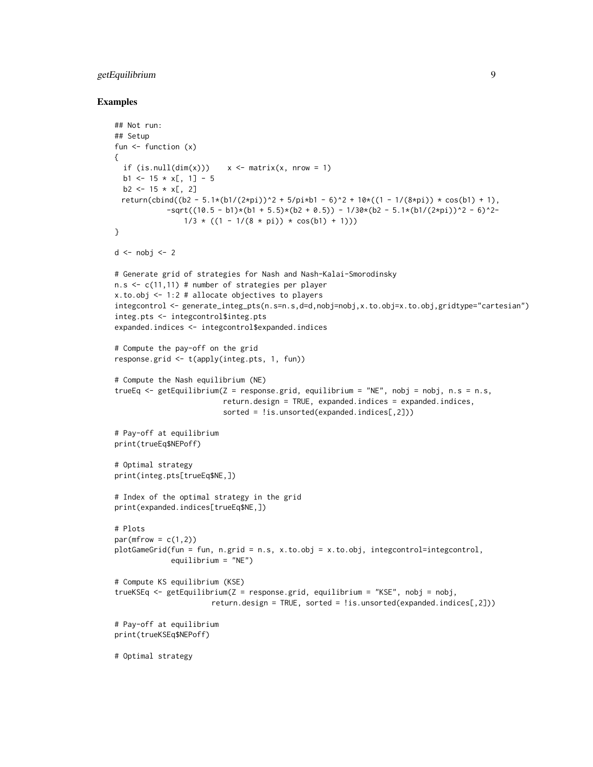# getEquilibrium 9

```
## Not run:
## Setup
fun <- function (x)
{
  if (is.null(dim(x))) x \leq - \text{matrix}(x, nrow = 1)b1 <- 15 * x[, 1] - 5
  b2 \le -15 \times x[, 2]
 return(cbind((b2 - 5.1*(b1/(2*pi))^2 + 5/pi*b1 - 6)^2 + 10*((1 - 1/(8*pi)) * cos(b1) + 1),
            -sqrt((10.5 - b1)*(b1 + 5.5)*(b2 + 0.5)) - 1/30*(b2 - 5.1*(b1/(2*pi))^2 - 6)^2-1/3 * ((1 - 1/(8 * pi)) * cos(b1) + 1)))}
d \leftarrow nobj \leftarrow 2# Generate grid of strategies for Nash and Nash-Kalai-Smorodinsky
n.s < -c(11,11) # number of strategies per player
x.to.obj <- 1:2 # allocate objectives to players
integcontrol <- generate_integ_pts(n.s=n.s,d=d,nobj=nobj,x.to.obj=x.to.obj,gridtype="cartesian")
integ.pts <- integcontrol$integ.pts
expanded.indices <- integcontrol$expanded.indices
# Compute the pay-off on the grid
response.grid <- t(apply(integ.pts, 1, fun))
# Compute the Nash equilibrium (NE)
trueEq \leq getEquilibrium(Z = response.grid, equilibrium = "NE", nobj = nobj, n.s = n.s,
                         return.design = TRUE, expanded.indices = expanded.indices,
                         sorted = !is.unsorted(expanded.indices[,2]))
# Pay-off at equilibrium
print(trueEq$NEPoff)
# Optimal strategy
print(integ.pts[trueEq$NE,])
# Index of the optimal strategy in the grid
print(expanded.indices[trueEq$NE,])
# Plots
par(mfrow = c(1,2))plotGameGrid(fun = fun, n.grid = n.s, x.to.obj = x.to.obj, integcontrol=integcontrol,
             equilibrium = "NE")
# Compute KS equilibrium (KSE)
trueKSEq <- getEquilibrium(Z = response.grid, equilibrium = "KSE", nobj = nobj,
                       return.design = TRUE, sorted = !is.unsorted(expanded.indices[,2]))
# Pay-off at equilibrium
print(trueKSEq$NEPoff)
# Optimal strategy
```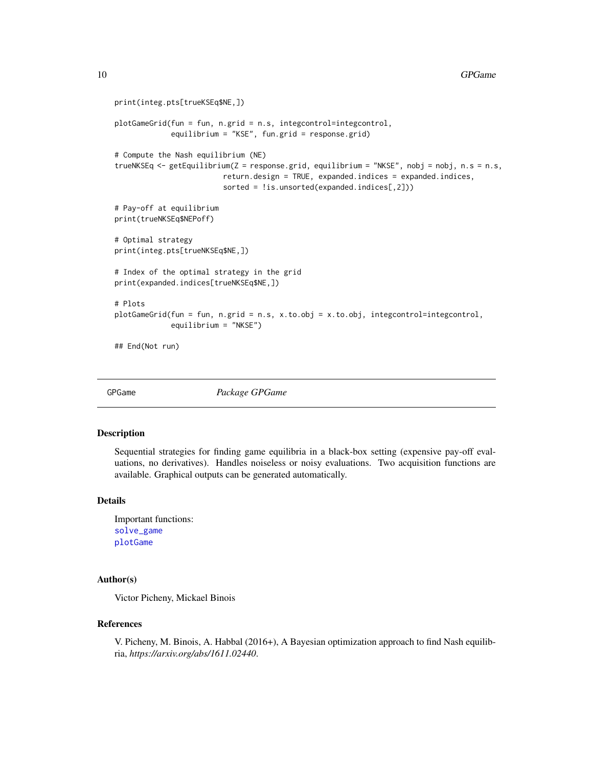```
print(integ.pts[trueKSEq$NE,])
plotGameGrid(fun = fun, n.grid = n.s, integcontrol=integcontrol,
             equilibrium = "KSE", fun.grid = response.grid)
# Compute the Nash equilibrium (NE)
trueNKSEq <- getEquilibrium(Z = response.grid, equilibrium = "NKSE", nobj = nobj, n.s = n.s,
                         return.design = TRUE, expanded.indices = expanded.indices,
                         sorted = !is.unsorted(expanded.indices[,2]))
# Pay-off at equilibrium
print(trueNKSEq$NEPoff)
# Optimal strategy
print(integ.pts[trueNKSEq$NE,])
# Index of the optimal strategy in the grid
print(expanded.indices[trueNKSEq$NE,])
# Plots
plotGameGrid(fun = fun, n.grid = n.s, x.to.obj = x.to.obj, integcontrol=integcontrol,
             equilibrium = "NKSE")
## End(Not run)
```
GPGame *Package GPGame*

#### **Description**

Sequential strategies for finding game equilibria in a black-box setting (expensive pay-off evaluations, no derivatives). Handles noiseless or noisy evaluations. Two acquisition functions are available. Graphical outputs can be generated automatically.

#### Details

Important functions: [solve\\_game](#page-14-1) [plotGame](#page-11-1)

# Author(s)

Victor Picheny, Mickael Binois

#### References

V. Picheny, M. Binois, A. Habbal (2016+), A Bayesian optimization approach to find Nash equilibria, *https://arxiv.org/abs/1611.02440*.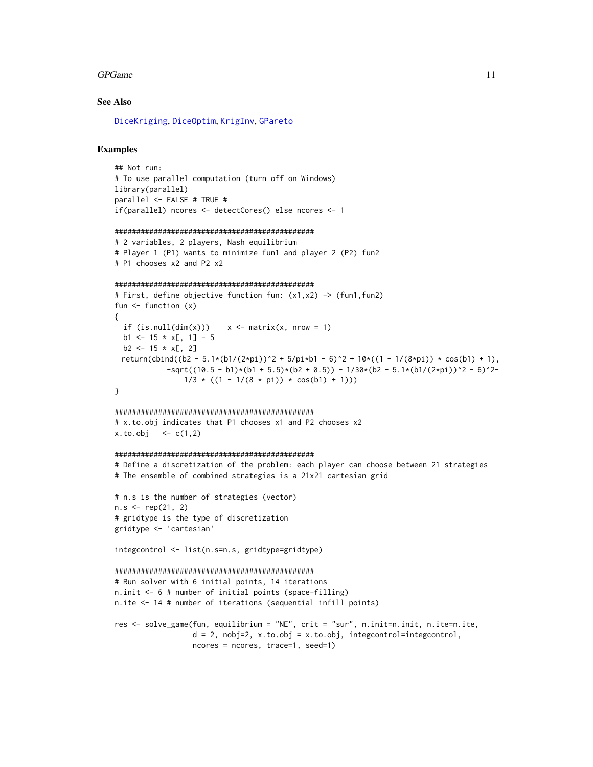#### <span id="page-10-0"></span>GPGame 11

#### See Also

[DiceKriging](#page-0-0), [DiceOptim](#page-0-0), [KrigInv](#page-0-0), [GPareto](#page-0-0)

# Examples

```
## Not run:
# To use parallel computation (turn off on Windows)
library(parallel)
parallel <- FALSE # TRUE #
if(parallel) ncores <- detectCores() else ncores <- 1
```

```
##############################################
```

```
# 2 variables, 2 players, Nash equilibrium
# Player 1 (P1) wants to minimize fun1 and player 2 (P2) fun2
# P1 chooses x2 and P2 x2
```

```
##############################################
```

```
# First, define objective function fun: (x1,x2) -> (fun1,fun2)
fun \leftarrow function (x){
 if (is.null(dim(x))) x \le matrix(x, nrow = 1)
 b1 <- 15 * x[, 1] - 5
 b2 \le -15 \times x[, 2]
 return(cbind((b2 - 5.1*(b1/(2*pi))^2 + 5/pi*b1 - 6)^2 + 10*((1 - 1/(8*pi)) * cos(b1) + 1),
            -sqrt((10.5 - b1)*(b1 + 5.5)*(b2 + 0.5)) - 1/30*(b2 - 5.1*(b1/(2*pi))^2 - 6)^2-1/3 * ((1 - 1/(8 * pi)) * cos(b1) + 1))}
```
#### ##############################################

# x.to.obj indicates that P1 chooses x1 and P2 chooses x2  $x. to. obj < -c(1,2)$ 

#### ##############################################

# Define a discretization of the problem: each player can choose between 21 strategies # The ensemble of combined strategies is a 21x21 cartesian grid

```
# n.s is the number of strategies (vector)
n.s < - rep(21, 2)# gridtype is the type of discretization
gridtype <- 'cartesian'
```
integcontrol <- list(n.s=n.s, gridtype=gridtype)

```
##############################################
# Run solver with 6 initial points, 14 iterations
n.init <- 6 # number of initial points (space-filling)
n.ite <- 14 # number of iterations (sequential infill points)
```

```
res <- solve_game(fun, equilibrium = "NE", crit = "sur", n.init=n.init, n.ite=n.ite,
                 d = 2, nobj=2, x.to.obj = x.to.obj, integcontrol=integcontrol,
                 ncores = ncores, trace=1, seed=1)
```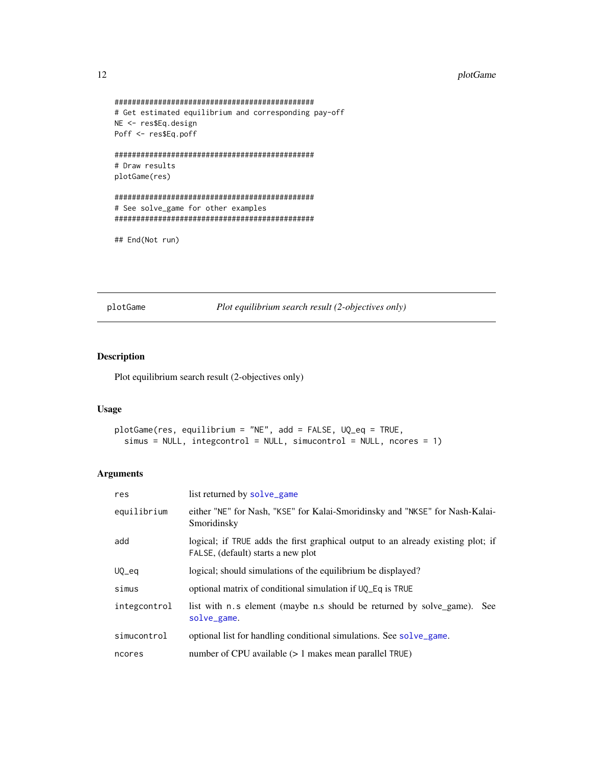```
##############################################
# Get estimated equilibrium and corresponding pay-off
NE <- res$Eq.design
Poff <- res$Eq.poff
##############################################
# Draw results
plotGame(res)
##############################################
# See solve_game for other examples
##############################################
```

```
## End(Not run)
```
<span id="page-11-1"></span>plotGame *Plot equilibrium search result (2-objectives only)*

# Description

Plot equilibrium search result (2-objectives only)

# Usage

```
plotGame(res, equilibrium = "NE", add = FALSE, UQ_eq = TRUE,
  simus = NULL, integcontrol = NULL, simucontrol = NULL, ncores = 1)
```
# Arguments

| res          | list returned by solve_game                                                                                            |
|--------------|------------------------------------------------------------------------------------------------------------------------|
| equilibrium  | either "NE" for Nash, "KSE" for Kalai-Smoridinsky and "NKSE" for Nash-Kalai-<br>Smoridinsky                            |
| add          | logical; if TRUE adds the first graphical output to an already existing plot; if<br>FALSE, (default) starts a new plot |
| UQ_eq        | logical; should simulations of the equilibrium be displayed?                                                           |
| simus        | optional matrix of conditional simulation if $UQ$ Eq is TRUE                                                           |
| integcontrol | list with n.s element (maybe n.s should be returned by solve_game).<br><b>See</b><br>solve_game.                       |
| simucontrol  | optional list for handling conditional simulations. See solve_game.                                                    |
| ncores       | number of CPU available $(>1$ makes mean parallel TRUE)                                                                |

<span id="page-11-0"></span>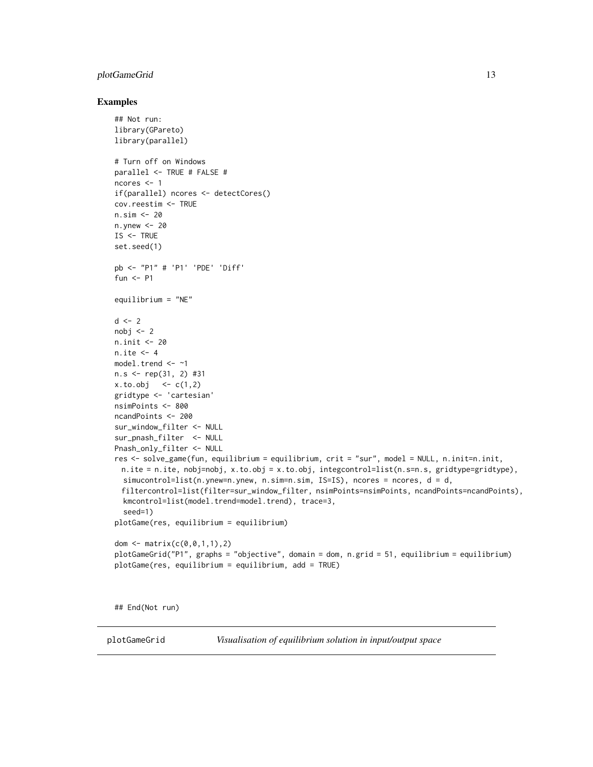# <span id="page-12-0"></span>plotGameGrid 13

#### Examples

```
## Not run:
library(GPareto)
library(parallel)
# Turn off on Windows
parallel <- TRUE # FALSE #
ncores <- 1
if(parallel) ncores <- detectCores()
cov.reestim <- TRUE
n.sim <- 20
n.ynew <- 20
IS <- TRUE
set.seed(1)
pb <- "P1" # 'P1' 'PDE' 'Diff'
fun <- P1
equilibrium = "NE"
d \le -2nobj < -2n.init <- 20
n.ite <- 4
model.trend <- ~1
n.s <- rep(31, 2) #31
x. to. obj < -c(1, 2)gridtype <- 'cartesian'
nsimPoints <- 800
ncandPoints <- 200
sur_window_filter <- NULL
sur_pnash_filter <- NULL
Pnash_only_filter <- NULL
res <- solve_game(fun, equilibrium = equilibrium, crit = "sur", model = NULL, n.init=n.init,
 n.ite = n.ite, nobj=nobj, x.to.obj = x.to.obj, integcontrol=list(n.s=n.s, gridtype=gridtype),
  simucontrol=list(n.ynew=n.ynew, n.sim=n.sim, IS=IS), ncores = ncores, d = d,
 filtercontrol=list(filter=sur_window_filter, nsimPoints=nsimPoints, ncandPoints=ncandPoints),
  kmcontrol=list(model.trend=model.trend), trace=3,
  seed=1)
plotGame(res, equilibrium = equilibrium)
dom <- matrix(c(0,0,1,1),2)
plotGameGrid("P1", graphs = "objective", domain = dom, n.grid = 51, equilibrium = equilibrium)
plotGame(res, equilibrium = equilibrium, add = TRUE)
```
## End(Not run)

plotGameGrid *Visualisation of equilibrium solution in input/output space*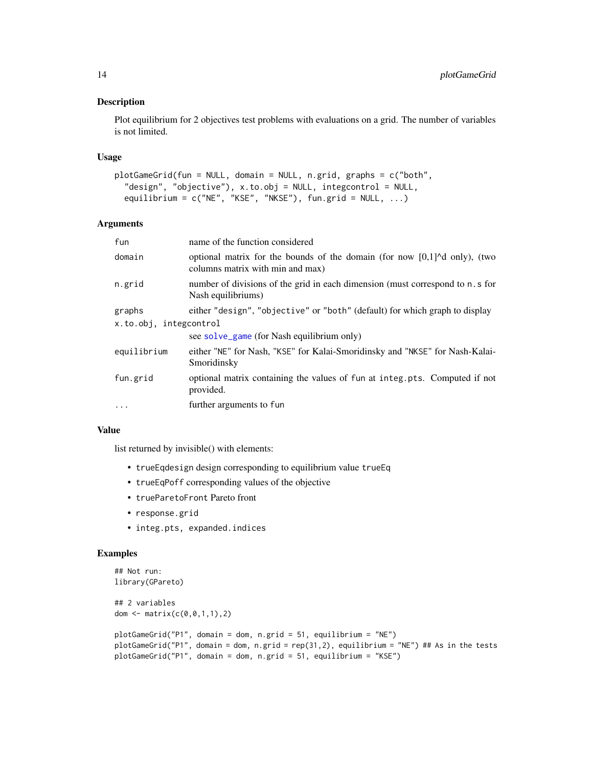#### <span id="page-13-0"></span>Description

Plot equilibrium for 2 objectives test problems with evaluations on a grid. The number of variables is not limited.

#### Usage

```
plotGameGrid(fun = NULL, domain = NULL, n.grid, graphs = c("both",
  "design", "objective"), x.to.obj = NULL, integcontrol = NULL,
 equilibrium = c("NE", "KSE", "NKSE"), fun.grid = NULL, ...)
```
# Arguments

| fun                    | name of the function considered                                                                                                                |
|------------------------|------------------------------------------------------------------------------------------------------------------------------------------------|
| domain                 | optional matrix for the bounds of the domain (for now $[0,1]$ <sup><math>\wedge</math></sup> d only), (two<br>columns matrix with min and max) |
| n.grid                 | number of divisions of the grid in each dimension (must correspond to n. s for<br>Nash equilibriums)                                           |
| graphs                 | either "design", "objective" or "both" (default) for which graph to display                                                                    |
| x.to.obj, integcontrol |                                                                                                                                                |
|                        | see solve_game (for Nash equilibrium only)                                                                                                     |
| equilibrium            | either "NE" for Nash, "KSE" for Kalai-Smoridinsky and "NKSE" for Nash-Kalai-<br>Smoridinsky                                                    |
| fun.grid               | optional matrix containing the values of fun at integ.pts. Computed if not<br>provided.                                                        |
| .                      | further arguments to fun                                                                                                                       |
|                        |                                                                                                                                                |

# Value

list returned by invisible() with elements:

- trueEqdesign design corresponding to equilibrium value trueEq
- trueEqPoff corresponding values of the objective
- trueParetoFront Pareto front
- response.grid
- integ.pts, expanded.indices

```
## Not run:
library(GPareto)
## 2 variables
dom <- matrix(c(0,0,1,1),2)
plotGameGrid("P1", domain = dom, n.grid = 51, equilibrium = "NE")
plotGameGrid("P1", domain = dom, n.grid = rep(31,2), equilibrium = "NE") ## As in the tests
plotGameGrid("P1", domain = dom, n.grid = 51, equilibrium = "KSE")
```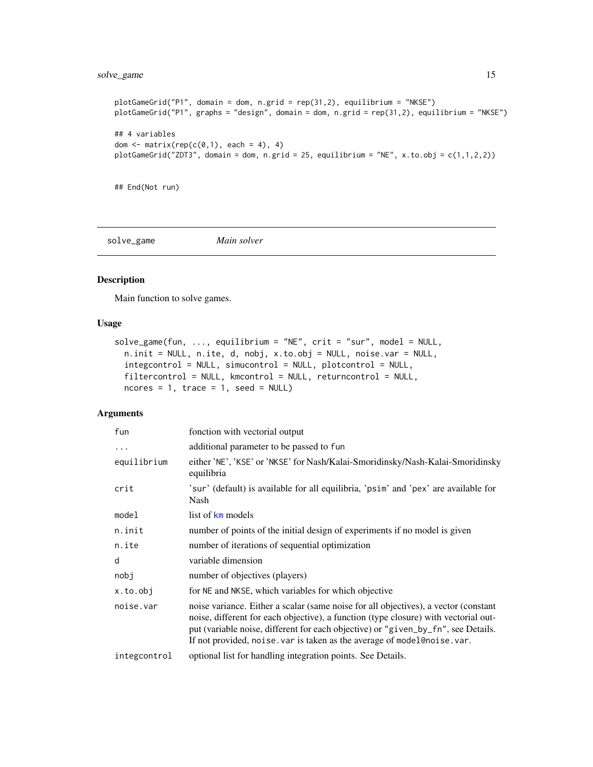# <span id="page-14-0"></span>solve\_game 15

```
plotGameGrid("P1", domain = dom, n.grid = rep(31,2), equilibrium = "NKSE")
plotGameGrid("P1", graphs = "design", domain = dom, n.grid = rep(31,2), equilibrium = "NKSE")
## 4 variables
dom \leq matrix(rep(c(0,1), each = 4), 4)
plotGameGrid("ZDT3", domain = dom, n.grid = 25, equilibrium = "NE", x.to.obj = c(1,1,2,2))
```
## End(Not run)

<span id="page-14-1"></span>solve\_game *Main solver*

#### Description

Main function to solve games.

#### Usage

```
solve_game(fun, ..., equilibrium = "NE", crit = "sur", model = NULL,
 n.init = NULL, n.ite, d, nobj, x.to.obj = NULL, noise.var = NULL,
  integcontrol = NULL, simucontrol = NULL, plotcontrol = NULL,
  filtercontrol = NULL, kmcontrol = NULL, returncontrol = NULL,
  ncores = 1, trace = 1, seed = NULL)
```
#### Arguments

| fun          | fonction with vectorial output                                                                                                                                                                                                                                                                                                              |
|--------------|---------------------------------------------------------------------------------------------------------------------------------------------------------------------------------------------------------------------------------------------------------------------------------------------------------------------------------------------|
| $\cdots$     | additional parameter to be passed to fun                                                                                                                                                                                                                                                                                                    |
| equilibrium  | either 'NE', 'KSE' or 'NKSE' for Nash/Kalai-Smoridinsky/Nash-Kalai-Smoridinsky<br>equilibria                                                                                                                                                                                                                                                |
| crit         | 'sur' (default) is available for all equilibria, 'psim' and 'pex' are available for<br>Nash                                                                                                                                                                                                                                                 |
| model        | list of km models                                                                                                                                                                                                                                                                                                                           |
| n.init       | number of points of the initial design of experiments if no model is given                                                                                                                                                                                                                                                                  |
| n.ite        | number of iterations of sequential optimization                                                                                                                                                                                                                                                                                             |
| d            | variable dimension                                                                                                                                                                                                                                                                                                                          |
| nobj         | number of objectives (players)                                                                                                                                                                                                                                                                                                              |
| x.to.obj     | for NE and NKSE, which variables for which objective                                                                                                                                                                                                                                                                                        |
| noise.var    | noise variance. Either a scalar (same noise for all objectives), a vector (constant<br>noise, different for each objective), a function (type closure) with vectorial out-<br>put (variable noise, different for each objective) or "given_by_fn", see Details.<br>If not provided, noise. var is taken as the average of model@noise. var. |
| integcontrol | optional list for handling integration points. See Details.                                                                                                                                                                                                                                                                                 |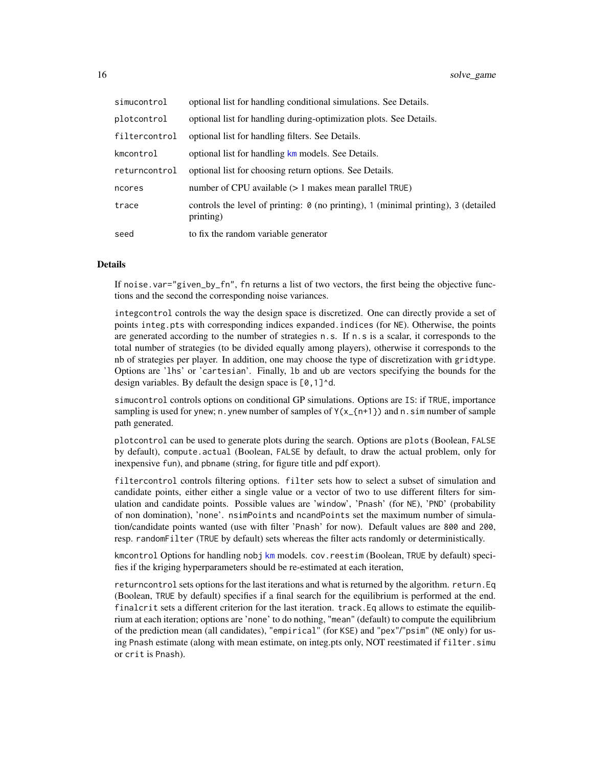| simucontrol   | optional list for handling conditional simulations. See Details.                                       |
|---------------|--------------------------------------------------------------------------------------------------------|
| plotcontrol   | optional list for handling during-optimization plots. See Details.                                     |
| filtercontrol | optional list for handling filters. See Details.                                                       |
| kmcontrol     | optional list for handling km models. See Details.                                                     |
| returncontrol | optional list for choosing return options. See Details.                                                |
| ncores        | number of CPU available $(>1)$ makes mean parallel TRUE)                                               |
| trace         | controls the level of printing: $\theta$ (no printing), 1 (minimal printing), 3 (detailed<br>printing) |
| seed          | to fix the random variable generator                                                                   |

#### Details

If noise.var="given\_by\_fn", fn returns a list of two vectors, the first being the objective functions and the second the corresponding noise variances.

integcontrol controls the way the design space is discretized. One can directly provide a set of points integ.pts with corresponding indices expanded.indices (for NE). Otherwise, the points are generated according to the number of strategies n.s. If n.s is a scalar, it corresponds to the total number of strategies (to be divided equally among players), otherwise it corresponds to the nb of strategies per player. In addition, one may choose the type of discretization with gridtype. Options are 'lhs' or 'cartesian'. Finally, lb and ub are vectors specifying the bounds for the design variables. By default the design space is  $[0,1]$ <sup>^d</sup>.

simucontrol controls options on conditional GP simulations. Options are IS: if TRUE, importance sampling is used for ynew; n. ynew number of samples of  $Y(x_{-1}+1)$  and n. sim number of sample path generated.

plotcontrol can be used to generate plots during the search. Options are plots (Boolean, FALSE by default), compute.actual (Boolean, FALSE by default, to draw the actual problem, only for inexpensive fun), and pbname (string, for figure title and pdf export).

filtercontrol controls filtering options. filter sets how to select a subset of simulation and candidate points, either either a single value or a vector of two to use different filters for simulation and candidate points. Possible values are 'window', 'Pnash' (for NE), 'PND' (probability of non domination), 'none'. nsimPoints and ncandPoints set the maximum number of simulation/candidate points wanted (use with filter 'Pnash' for now). Default values are 800 and 200, resp. randomFilter (TRUE by default) sets whereas the filter acts randomly or deterministically.

kmcontrol Options for handling nobj [km](#page-0-0) models. cov.reestim (Boolean, TRUE by default) specifies if the kriging hyperparameters should be re-estimated at each iteration,

returncontrol sets options for the last iterations and what is returned by the algorithm. return.Eq (Boolean, TRUE by default) specifies if a final search for the equilibrium is performed at the end. finalcrit sets a different criterion for the last iteration. track.Eq allows to estimate the equilibrium at each iteration; options are 'none' to do nothing, "mean" (default) to compute the equilibrium of the prediction mean (all candidates), "empirical" (for KSE) and "pex"/"psim" (NE only) for using Pnash estimate (along with mean estimate, on integ.pts only, NOT reestimated if filter.simu or crit is Pnash).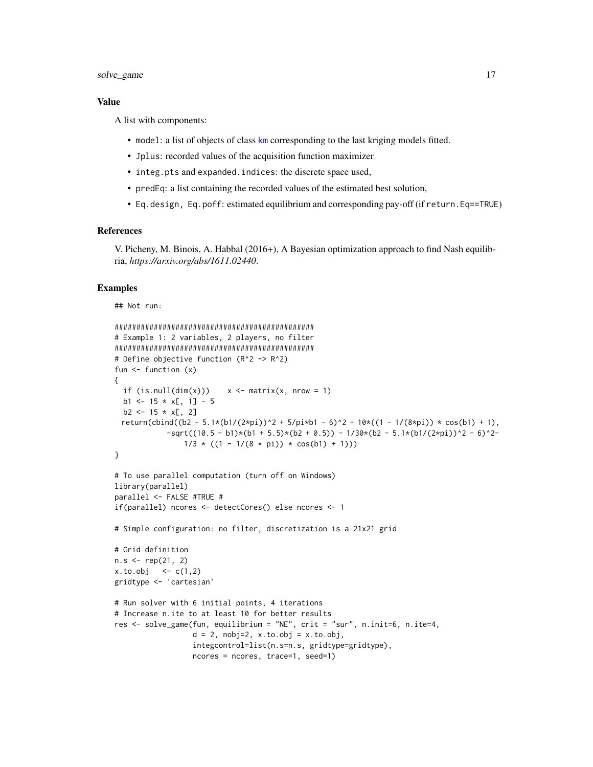# <span id="page-16-0"></span>solve\_game 17

## Value

A list with components:

- model: a list of objects of class [km](#page-0-0) corresponding to the last kriging models fitted.
- Jplus: recorded values of the acquisition function maximizer
- integ.pts and expanded.indices: the discrete space used,
- predEq: a list containing the recorded values of the estimated best solution,
- Eq.design, Eq.poff: estimated equilibrium and corresponding pay-off (if return.Eq==TRUE)

# References

V. Picheny, M. Binois, A. Habbal (2016+), A Bayesian optimization approach to find Nash equilibria, *https://arxiv.org/abs/1611.02440*.

```
## Not run:
```

```
##############################################
# Example 1: 2 variables, 2 players, no filter
##############################################
# Define objective function (R^2 -> R^2)
fun \leftarrow function (x){
  if (is.null(dim(x)))  x \leq - \text{matrix}(x, nrow = 1)b1 \le -15 \times x[, 1] - 5
  b2 \le -15 \times x[, 2]
 return(cbind((b2 - 5.1*(b1/(2*pi))^2 + 5/pi*b1 - 6)^2 + 10*((1 - 1/(8*pi)) * cos(b1) + 1),
            -sqrt((10.5 - b1)*(b1 + 5.5)*(b2 + 0.5)) - 1/30*(b2 - 5.1*(b1/(2*pi))^2 - 6)^2-1/3 * ((1 - 1/(8 * pi)) * cos(b1) + 1))}
# To use parallel computation (turn off on Windows)
library(parallel)
parallel <- FALSE #TRUE #
if(parallel) ncores <- detectCores() else ncores <- 1
# Simple configuration: no filter, discretization is a 21x21 grid
# Grid definition
n.s <- rep(21, 2)
x. to. obj < -c(1,2)gridtype <- 'cartesian'
# Run solver with 6 initial points, 4 iterations
# Increase n.ite to at least 10 for better results
res <- solve_game(fun, equilibrium = "NE", crit = "sur", n.init=6, n.ite=4,
                  d = 2, nobj=2, x.to.obj = x.to.obj,
                  integcontrol=list(n.s=n.s, gridtype=gridtype),
                  ncores = ncores, trace=1, seed=1)
```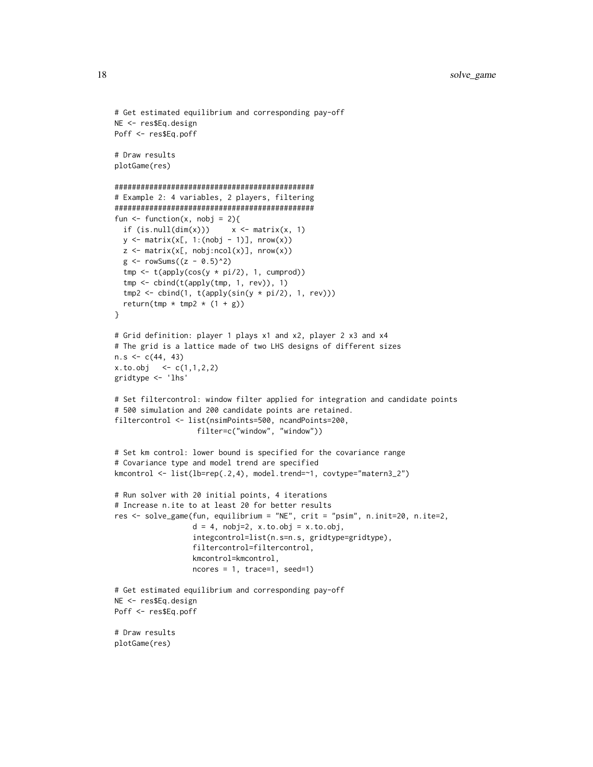```
# Get estimated equilibrium and corresponding pay-off
NE <- res$Eq.design
Poff <- res$Eq.poff
# Draw results
plotGame(res)
##############################################
# Example 2: 4 variables, 2 players, filtering
##############################################
fun \leq function(x, nobj = 2){
  if (is.null(dim(x)))  x \leftarrow matrix(x, 1)y \le - matrix(x[, 1:(nobj - 1)], nrow(x))
  z \le matrix(x[, nobj:ncol(x)], nrow(x))
  g \leftarrow rowSums((z - 0.5)^2)tmp \leftarrow t(apoly(cos(y * pi/2), 1, cumprod))tmp <- cbind(t(apply(tmp, 1, rev)), 1)
  tmp2 < - child(1, t(apoly(sin(y * pi/2), 1, rev)))return(tmp * tmp2 * (1 + g))
}
# Grid definition: player 1 plays x1 and x2, player 2 x3 and x4
# The grid is a lattice made of two LHS designs of different sizes
n.s < -c(44, 43)x. to. obj <- c(1,1,2,2)gridtype <- 'lhs'
# Set filtercontrol: window filter applied for integration and candidate points
# 500 simulation and 200 candidate points are retained.
filtercontrol <- list(nsimPoints=500, ncandPoints=200,
                   filter=c("window", "window"))
# Set km control: lower bound is specified for the covariance range
# Covariance type and model trend are specified
kmcontrol <- list(lb=rep(.2,4), model.trend=~1, covtype="matern3_2")
# Run solver with 20 initial points, 4 iterations
# Increase n.ite to at least 20 for better results
res <- solve_game(fun, equilibrium = "NE", crit = "psim", n.init=20, n.ite=2,
                  d = 4, nobj=2, x.to.obj = x.to.obj,
                  integcontrol=list(n.s=n.s, gridtype=gridtype),
                  filtercontrol=filtercontrol,
                  kmcontrol=kmcontrol,
                  ncores = 1, trace=1, seed=1)
# Get estimated equilibrium and corresponding pay-off
NE <- res$Eq.design
Poff <- res$Eq.poff
# Draw results
plotGame(res)
```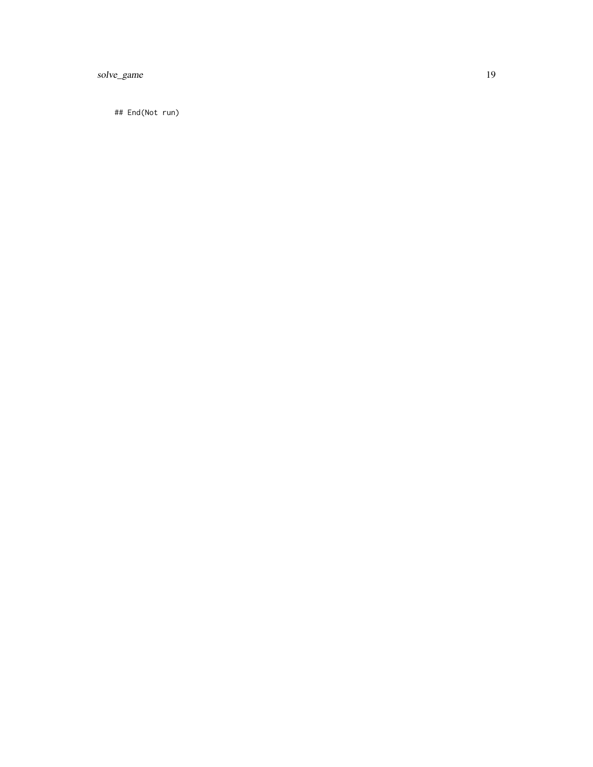solve\_game 19

## End(Not run)